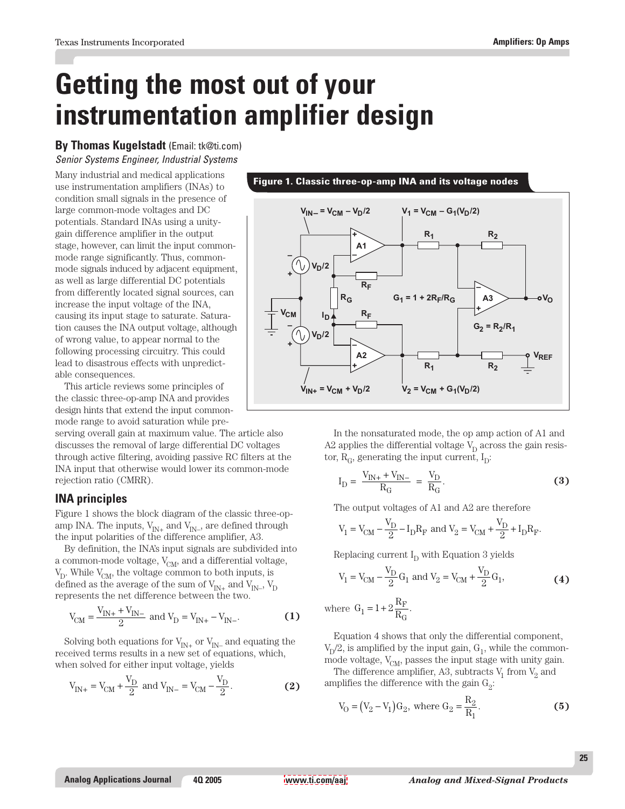# **Getting the most out of your instrumentation amplifier design**

## **By Thomas Kugelstadt** (Email: tk@ti.com) Senior Systems Engineer, Industrial Systems

Many industrial and medical applications use instrumentation amplifiers (INAs) to condition small signals in the presence of large common-mode voltages and DC potentials. Standard INAs using a unitygain difference amplifier in the output stage, however, can limit the input commonmode range significantly. Thus, commonmode signals induced by adjacent equipment, as well as large differential DC potentials from differently located signal sources, can increase the input voltage of the INA, causing its input stage to saturate. Saturation causes the INA output voltage, although of wrong value, to appear normal to the following processing circuitry. This could lead to disastrous effects with unpredictable consequences.

This article reviews some principles of the classic three-op-amp INA and provides design hints that extend the input commonmode range to avoid saturation while pre-

serving overall gain at maximum value. The article also discusses the removal of large differential DC voltages through active filtering, avoiding passive RC filters at the INA input that otherwise would lower its common-mode rejection ratio (CMRR).

## **INA principles**

Figure 1 shows the block diagram of the classic three-opamp INA. The inputs,  $V_{IN+}$  and  $V_{IN-}$ , are defined through the input polarities of the difference amplifier, A3.

By definition, the INA's input signals are subdivided into a common-mode voltage,  $V_{CM}$ , and a differential voltage,  $V_D$ . While  $V_{CM}$ , the voltage common to both inputs, is defined as the average of the sum of  $V_{IN^+}$  and  $V_{IN^-}$ ,  $V_D$ represents the net difference between the two.

$$
V_{CM} = \frac{V_{IN+} + V_{IN-}}{2} \text{ and } V_{D} = V_{IN+} - V_{IN-}.
$$
 (1)

Solving both equations for  $V_{IN+}$  or  $V_{IN-}$  and equating the received terms results in a new set of equations, which, when solved for either input voltage, yields

$$
V_{IN+} = V_{CM} + \frac{V_D}{2}
$$
 and  $V_{IN-} = V_{CM} - \frac{V_D}{2}$ . (2)

## **Figure 1. Classic three-op-amp INA and its voltage nodes**



In the nonsaturated mode, the op amp action of A1 and A2 applies the differential voltage  $V_D$  across the gain resistor,  $R_{\alpha}$ , generating the input current,  $I_{\alpha}$ :

$$
I_{D} = \frac{V_{IN+} + V_{IN-}}{R_{G}} = \frac{V_{D}}{R_{G}}.
$$
 (3)

The output voltages of A1 and A2 are therefore

$$
\label{eq:V1} \rm{V}_1 = \rm{V}_{CM} - \frac{\rm{V}_{D}}{2} - \rm{I}_D \rm{R}_F \ and \ \rm{V}_2 = \rm{V}_{CM} + \frac{\rm{V}_{D}}{2} + \rm{I}_D \rm{R}_F.
$$

Replacing current  $I_D$  with Equation 3 yields

$$
V_1 = V_{CM} - \frac{V_D}{2} G_1
$$
 and  $V_2 = V_{CM} + \frac{V_D}{2} G_1$ , (4)

where  $G_1 = 1 + 2\frac{R}{R}$ F  $t_1 = 1 + 2 \frac{R}{R_G}.$ 

Equation 4 shows that only the differential component,  $V_p/2$ , is amplified by the input gain,  $G_1$ , while the commonmode voltage,  $V_{CM}$ , passes the input stage with unity gain.

The difference amplifier, A3, subtracts  $V_1$  from  $V_2$  and amplifies the difference with the gain  $G_2$ :

$$
V_0 = (V_2 - V_1)G_2
$$
, where  $G_2 = \frac{R_2}{R_1}$ . (5)

**25**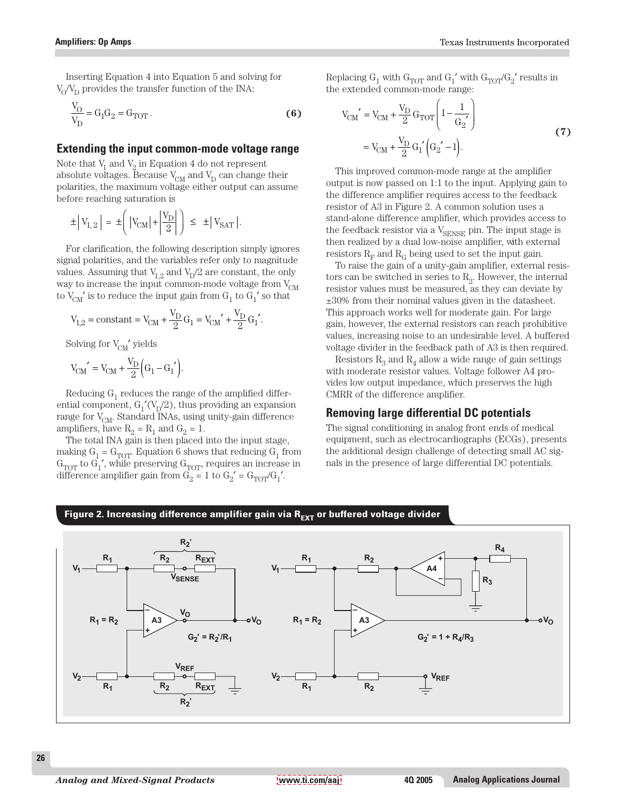Inserting Equation 4 into Equation 5 and solving for  $V_0/V_D$  provides the transfer function of the INA:

$$
\frac{V_O}{V_D} = G_1 G_2 = G_{TOT}.
$$
\n
$$
\tag{6}
$$

## **Extending the input common-mode voltage range**

Note that  $V_1$  and  $V_2$  in Equation 4 do not represent absolute voltages. Because  $V_{CM}$  and  $V_D$  can change their polarities, the maximum voltage either output can assume before reaching saturation is

$$
\pm \left| V_{1,2} \right| = \pm \left( \left| V_{CM} \right| + \left| \frac{V_{D}}{2} \right| \right) \leq \pm \left| V_{SAT} \right|.
$$

For clarification, the following description simply ignores signal polarities, and the variables refer only to magnitude values. Assuming that  $V_{1,2}$  and  $V_{D}/2$  are constant, the only way to increase the input common-mode voltage from  $V_{CM}$ to  $V_{CM}$ ' is to reduce the input gain from  $G_1$  to  $G_1'$  so that

$$
\label{eq:V12} \text{V}_{1,2} = \text{constant} = \text{V}_{\text{CM}} + \frac{\text{V}_{\text{D}}}{2}\text{G}_1 = \text{V}_{\text{CM}}' + \frac{\text{V}_{\text{D}}}{2}\text{G}_1'.
$$

Solving for  $V_{CM}$ ' yields

$$
\text{V}_{\text{CM}}\prime=\text{V}_{\text{CM}}+\frac{\text{V}_{\text{D}}}{2}\Big(\text{G}_1-\text{G}_1\prime\Big).
$$

Reducing  $G_1$  reduces the range of the amplified differential component,  $G_1'(V_p/2)$ , thus providing an expansion range for  $V_{CM}$ . Standard INAs, using unity-gain difference amplifiers, have  $R_2 = R_1$  and  $G_2 = 1$ .

The total INA gain is then placed into the input stage, making  $\mathbf{G}_1 = \mathbf{G}_\text{TOT}.$  Equation 6 shows that reducing  $\mathbf{G}_1$  from  $G_{TOT}$  to  $G_1'$ , while preserving  $G_{TOT}$ , requires an increase in difference amplifier gain from  $\overrightarrow{G_2} = 1$  to  $G_2' = G_{TOT}/G_1'$ .

Replacing  $G_1$  with  $G_{TOT}$  and  $G_1{'}$  with  $G_{TOT}{\prime}G_2{'}$  results in the extended common-mode range:

$$
V_{CM}' = V_{CM} + \frac{V_D}{2} G_{TOT} \left( 1 - \frac{1}{G_2'} \right)
$$
  
=  $V_{CM} + \frac{V_D}{2} G_1' \left( G_2' - 1 \right)$ . (7)

This improved common-mode range at the amplifier output is now passed on 1:1 to the input. Applying gain to the difference amplifier requires access to the feedback resistor of A3 in Figure 2. A common solution uses a stand-alone difference amplifier, which provides access to the feedback resistor via a  $V_{\text{SENSE}}$  pin. The input stage is then realized by a dual low-noise amplifier, with external resistors  $R_F$  and  $R_G$  being used to set the input gain.

To raise the gain of a unity-gain amplifier, external resistors can be switched in series to  $R<sub>2</sub>$ . However, the internal resistor values must be measured, as they can deviate by ±30% from their nominal values given in the datasheet. This approach works well for moderate gain. For large gain, however, the external resistors can reach prohibitive values, increasing noise to an undesirable level. A buffered voltage divider in the feedback path of A3 is then required.

Resistors  $R_3$  and  $R_4$  allow a wide range of gain settings with moderate resistor values. Voltage follower A4 provides low output impedance, which preserves the high CMRR of the difference amplifier.

## **Removing large differential DC potentials**

The signal conditioning in analog front ends of medical equipment, such as electrocardiographs (ECGs), presents the additional design challenge of detecting small AC signals in the presence of large differential DC potentials.

#### $A3 > 0$   $\bullet$   $\bullet$   $0V_0$   $R_1 = R_2$  | A3 **+ + – – + – R**<sub>1</sub> **R**<sub>2</sub> **R**<sub>EXT</sub> **R**<sub>1</sub> **R**<sub>1</sub> **R**<sub>2</sub> **R2 REXT REXT**  $R<sub>2</sub>$  $R<sub>2</sub>$  $R_1$   $R_2$   $R_{\text{EXT}_1}$   $\perp$   $R_1$   $R_2$  $V_0$  **R**<sub>1</sub> = **R**<sub>2</sub> **A3**  $\rightarrow$  **C**  $\rightarrow$  **C**  $\rightarrow$  **C**  $\rightarrow$  **C VO VREF**  $V_1$ **V**SENSE **V1 V2 V2 R4**  $R_3$ **A4 VREF**  $R_1 = R_2$   $\begin{array}{ccc} \end{array}$   $\begin{array}{ccc} A3 \end{array}$   $\begin{array}{ccc} \bullet & \bullet & \bullet \end{array}$   $\begin{array}{ccc} \bullet & \bullet & \bullet \end{array}$   $\begin{array}{ccc} R_1 = R_2 \end{array}$  $G_2' = R_2' / R_1$   $G_2' = 1 + R_4 / R_3$ Figure 2. Increasing difference amplifier gain via R<sub>EXT</sub> or buffered voltage divider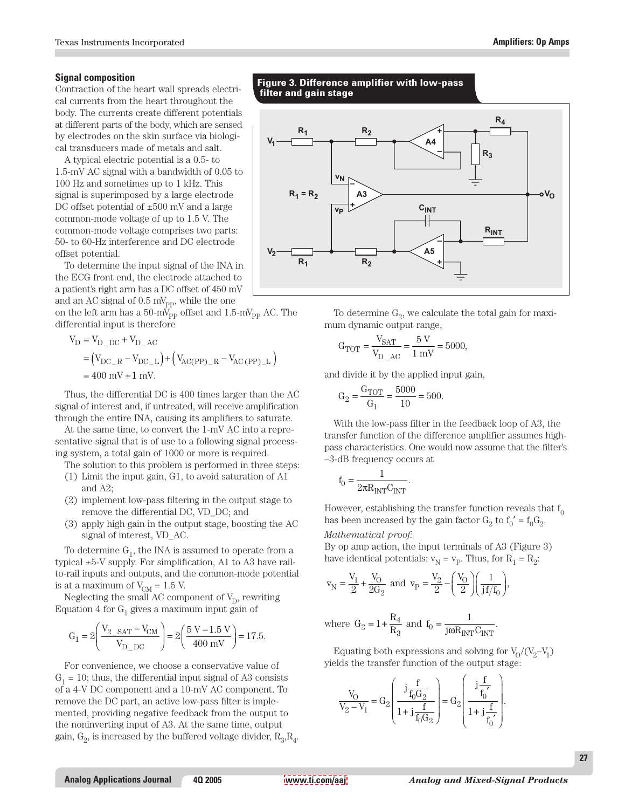#### **Signal composition**

Contraction of the heart wall spreads electrical currents from the heart throughout the body. The currents create different potentials at different parts of the body, which are sensed by electrodes on the skin surface via biological transducers made of metals and salt.

A typical electric potential is a 0.5- to 1.5-mV AC signal with a bandwidth of 0.05 to 100 Hz and sometimes up to 1 kHz. This signal is superimposed by a large electrode DC offset potential of  $\pm 500$  mV and a large common-mode voltage of up to 1.5 V. The common-mode voltage comprises two parts: 50- to 60-Hz interference and DC electrode offset potential.

To determine the input signal of the INA in the ECG front end, the electrode attached to a patient's right arm has a DC offset of 450 mV and an AC signal of  $0.5 \text{ mV}_{\text{pp}}$ , while the one

on the left arm has a 50-m $V_{\text{PP}}$  offset and 1.5-m $V_{\text{PP}}$  AC. The differential input is therefore

$$
V_{D} = V_{D\_DC} + V_{D\_AC}
$$
  
=  $(V_{DC\_R} - V_{DC\_L}) + (V_{AC(PP)_R} - V_{AC(PP)_L})$   
= 400 mV + 1 mV.

Thus, the differential DC is 400 times larger than the AC signal of interest and, if untreated, will receive amplification through the entire INA, causing its amplifiers to saturate.

At the same time, to convert the 1-mV AC into a representative signal that is of use to a following signal processing system, a total gain of 1000 or more is required.

The solution to this problem is performed in three steps:

- (1) Limit the input gain, G1, to avoid saturation of A1 and A2;
- (2) implement low-pass filtering in the output stage to remove the differential DC, VD\_DC; and
- (3) apply high gain in the output stage, boosting the AC signal of interest, VD\_AC.

To determine  $G_1$ , the INA is assumed to operate from a typical ±5-V supply. For simplification, A1 to A3 have railto-rail inputs and outputs, and the common-mode potential is at a maximum of  $V_{CM} = 1.5$  V.

Neglecting the small AC component of  $V_D$ , rewriting Equation 4 for  $G_1$  gives a maximum input gain of

$$
G_1 = 2\left(\frac{V_{2\_SAT} - V_{CM}}{V_{D\_DC}}\right) = 2\left(\frac{5 V - 1.5 V}{400 mV}\right) = 17.5.
$$

For convenience, we choose a conservative value of  $G_1 = 10$ ; thus, the differential input signal of A3 consists of a 4-V DC component and a 10-mV AC component. To remove the DC part, an active low-pass filter is implemented, providing negative feedback from the output to the noninverting input of A3. At the same time, output gain,  $G_2$ , is increased by the buffered voltage divider,  $R_3, R_4$ .

**Figure 3. Difference amplifier with low-pass filter and gain stage**



To determine  $G_2$ , we calculate the total gain for maximum dynamic output range,

$$
G_{TOT} = \frac{V_{SAT}}{V_{D\_AC}} = \frac{5 V}{1 mV} = 5000,
$$

and divide it by the applied input gain,

$$
G_2 = \frac{G_{TOT}}{G_1} = \frac{5000}{10} = 500.
$$

With the low-pass filter in the feedback loop of A3, the transfer function of the difference amplifier assumes highpass characteristics. One would now assume that the filter's –3-dB frequency occurs at

$$
f_0 = \frac{1}{2\pi R_{INT}C_{INT}}.
$$

However, establishing the transfer function reveals that  $f_0$ has been increased by the gain factor  $G_2$  to  $f_0' = f_0 G_2$ .

*Mathematical proof:*

By op amp action, the input terminals of A3 (Figure 3) have identical potentials:  $v_N = v_P$ . Thus, for  $R_1 = R_2$ :

$$
v_N = \frac{V_1}{2} + \frac{V_O}{2G_2}
$$
 and  $v_P = \frac{V_2}{2} - \left(\frac{V_O}{2}\right)\left(\frac{1}{jf/f_0}\right)$ ,

where 
$$
G_2 = 1 + \frac{R_4}{R_3}
$$
 and  $f_0 = \frac{1}{j\omega R_{INT}C_{INT}}$ .

Equating both expressions and solving for  $V_0/(V_2-V_1)$ yields the transfer function of the output stage:

$$
\frac{V_O}{V_2 - V_1} = G_2 \left( \frac{j \frac{f}{f_0 G_2}}{1 + j \frac{f}{f_0 G_2}} \right) = G_2 \left( \frac{j \frac{f}{f_0'}}{1 + j \frac{f}{f_0'}} \right).
$$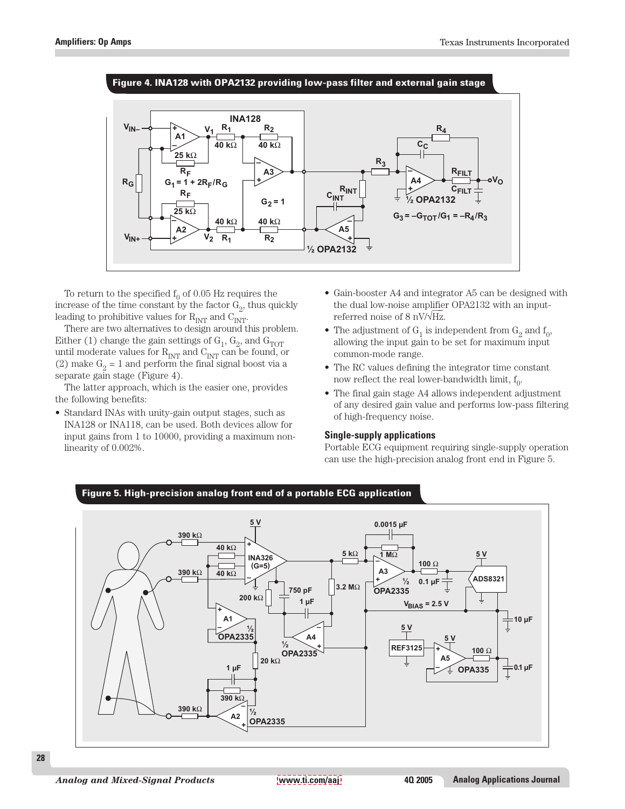

To return to the specified  $f_0$  of 0.05 Hz requires the increase of the time constant by the factor  $G_2$ , thus quickly leading to prohibitive values for  $R_{INT}$  and  $C_{INT}$ .

There are two alternatives to design around this problem. Either (1) change the gain settings of  $G_1$ ,  $G_2$ , and  $G_{TOT}$ until moderate values for  $R_{\mathrm{INT}}$  and  $C_{\mathrm{INT}}$  can be found, or (2) make  $G_2 = 1$  and perform the final signal boost via a separate gain stage (Figure 4).

The latter approach, which is the easier one, provides the following benefits:

• Standard INAs with unity-gain output stages, such as INA128 or INA118, can be used. Both devices allow for input gains from 1 to 10000, providing a maximum nonlinearity of 0.002%.

- Gain-booster A4 and integrator A5 can be designed with the dual low-noise amplifier OPA2132 with an inputreferred noise of 8 nV/√Hz.
- The adjustment of  $G_1$  is independent from  $G_2$  and  $f_0$ , allowing the input gain to be set for maximum input common-mode range.
- The RC values defining the integrator time constant now reflect the real lower-bandwidth limit,  $f_0$ .
- The final gain stage A4 allows independent adjustment of any desired gain value and performs low-pass filtering of high-frequency noise.

## **Single-supply applications**

Portable ECG equipment requiring single-supply operation can use the high-precision analog front end in Figure 5.



## **28**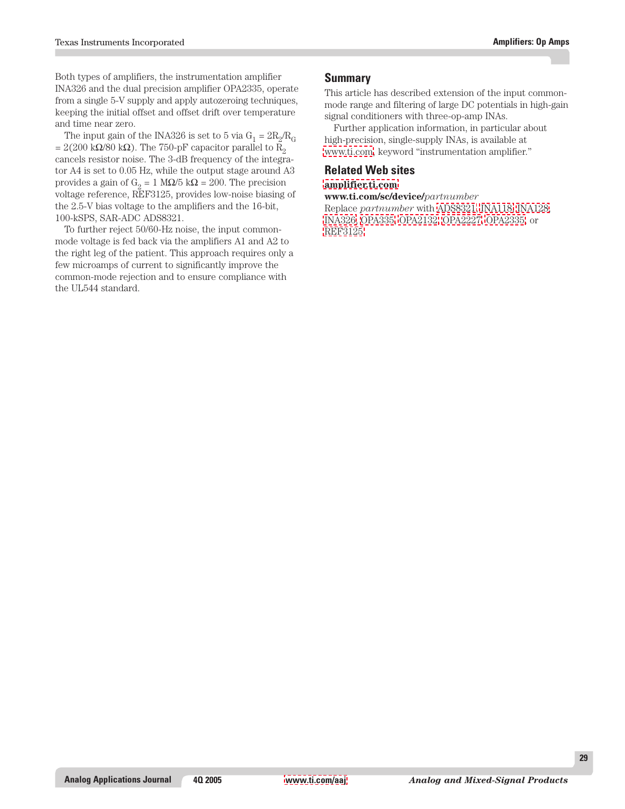Both types of amplifiers, the instrumentation amplifier INA326 and the dual precision amplifier OPA2335, operate from a single 5-V supply and apply autozeroing techniques, keeping the initial offset and offset drift over temperature and time near zero.

The input gain of the INA326 is set to 5 via  $G_1 = 2R_2/R_G$ = 2(200 kΩ/80 kΩ). The 750-pF capacitor parallel to R<sub>2</sub> cancels resistor noise. The 3-dB frequency of the integrator A4 is set to 0.05 Hz, while the output stage around A3 provides a gain of  $G<sub>2</sub> = 1 MΩ/5 kΩ = 200$ . The precision voltage reference, REF3125, provides low-noise biasing of the 2.5-V bias voltage to the amplifiers and the 16-bit, 100-kSPS, SAR-ADC ADS8321.

To further reject 50/60-Hz noise, the input commonmode voltage is fed back via the amplifiers A1 and A2 to the right leg of the patient. This approach requires only a few microamps of current to significantly improve the common-mode rejection and to ensure compliance with the UL544 standard.

## **Summary**

This article has described extension of the input commonmode range and filtering of large DC potentials in high-gain signal conditioners with three-op-amp INAs.

Further application information, in particular about high-precision, single-supply INAs, is available at [www.ti.com,](http://www.ti.com) keyword "instrumentation amplifier."

## **Related Web sites**

## **[amplifier.ti.com](http://amplifier.ti.com)**

**www.ti.com/sc/device/***partnumber* Replace *partnumber* with [ADS8321,](http://www.ti.com/sc/device/ADS8321) [INA118,](http://www.ti.com/sc/device/INA118) [INA128,](http://www.ti.com/sc/device/INA128)

[INA326,](http://www.ti.com/sc/device/INA326) [OPA335,](http://www.ti.com/sc/device/OPA335) [OPA2132,](http://www.ti.com/sc/device/OPA2132) [OPA2227,](http://www.ti.com/sc/device/OPA2227) [OPA2335,](http://www.ti.com/sc/device/OPA2335) or [REF3125](http://www.ti.com/sc/device/REF3125)